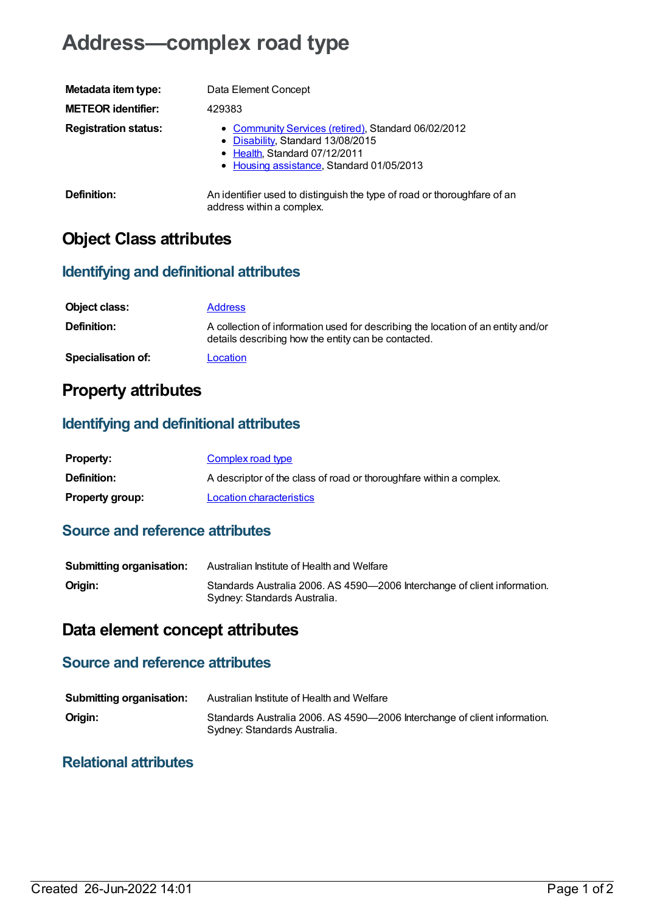# **Address—complex road type**

| Metadata item type:         | Data Element Concept                                                                                                                                                   |
|-----------------------------|------------------------------------------------------------------------------------------------------------------------------------------------------------------------|
| <b>METEOR identifier:</b>   | 429383                                                                                                                                                                 |
| <b>Registration status:</b> | • Community Services (retired), Standard 06/02/2012<br>• Disability, Standard 13/08/2015<br>• Health, Standard 07/12/2011<br>• Housing assistance, Standard 01/05/2013 |
| Definition:                 | An identifier used to distinguish the type of road or thoroughfare of an<br>address within a complex.                                                                  |

## **Object Class attributes**

#### **Identifying and definitional attributes**

| Object class:             | <b>Address</b>                                                                                                                          |
|---------------------------|-----------------------------------------------------------------------------------------------------------------------------------------|
| <b>Definition:</b>        | A collection of information used for describing the location of an entity and/or<br>details describing how the entity can be contacted. |
| <b>Specialisation of:</b> | Location                                                                                                                                |

### **Property attributes**

#### **Identifying and definitional attributes**

| <b>Property:</b>       | Complex road type                                                   |
|------------------------|---------------------------------------------------------------------|
| <b>Definition:</b>     | A descriptor of the class of road or thoroughfare within a complex. |
| <b>Property group:</b> | <b>Location characteristics</b>                                     |

#### **Source and reference attributes**

| <b>Submitting organisation:</b> | Australian Institute of Health and Welfare                                                                |
|---------------------------------|-----------------------------------------------------------------------------------------------------------|
| Origin:                         | Standards Australia 2006. AS 4590-2006 Interchange of client information.<br>Sydney: Standards Australia. |

### **Data element concept attributes**

### **Source and reference attributes**

| <b>Submitting organisation:</b> | Australian Institute of Health and Welfare                                                                |
|---------------------------------|-----------------------------------------------------------------------------------------------------------|
| Origin:                         | Standards Australia 2006. AS 4590-2006 Interchange of client information.<br>Sydney: Standards Australia. |

#### **Relational attributes**